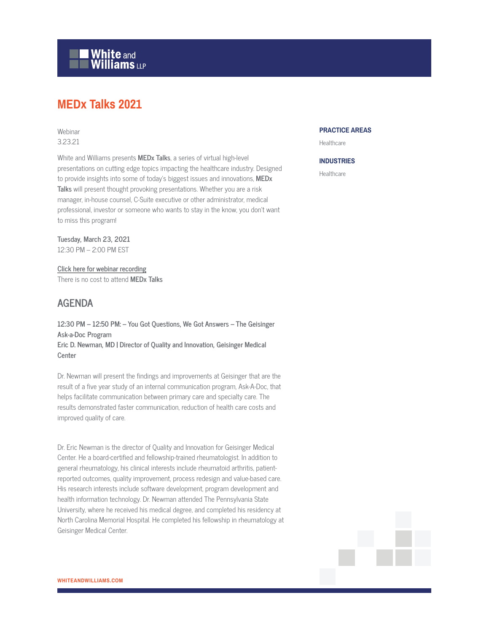

# **MEDx Talks 2021**

## Webinar 3.23.21

White and Williams presents **MEDx Talks**, a series of virtual high-level presentations on cutting edge topics impacting the healthcare industry. Designed to provide insights into some of today's biggest issues and innovations, **MEDx Talks** will present thought provoking presentations. Whether you are a risk manager, in-house counsel, C-Suite executive or other administrator, medical professional, investor or someone who wants to stay in the know, you don't want to miss this program!

**Tuesday, March 23, 2021** 12:30 PM – 2:00 PM EST

**Click here for webinar recording** There is no cost to attend **MEDx Talks**

# **AGENDA**

**12:30 PM – 12:50 PM: – You Got Questions, We Got Answers – The Geisinger Ask-a-Doc Program Eric D. Newman, MD | Director of Quality and Innovation, Geisinger Medical Center**

Dr. Newman will present the findings and improvements at Geisinger that are the result of a five year study of an internal communication program, Ask-A-Doc, that helps facilitate communication between primary care and specialty care. The results demonstrated faster communication, reduction of health care costs and improved quality of care.

Dr. Eric Newman is the director of Quality and Innovation for Geisinger Medical Center. He a board-certified and fellowship-trained rheumatologist. In addition to general rheumatology, his clinical interests include rheumatoid arthritis, patientreported outcomes, quality improvement, process redesign and value-based care. His research interests include software development, program development and health information technology. Dr. Newman attended The Pennsylvania State University, where he received his medical degree, and completed his residency at North Carolina Memorial Hospital. He completed his fellowship in rheumatology at Geisinger Medical Center.

#### **PRACTICE AREAS**

Healthcare

#### **INDUSTRIES**

Healthcare